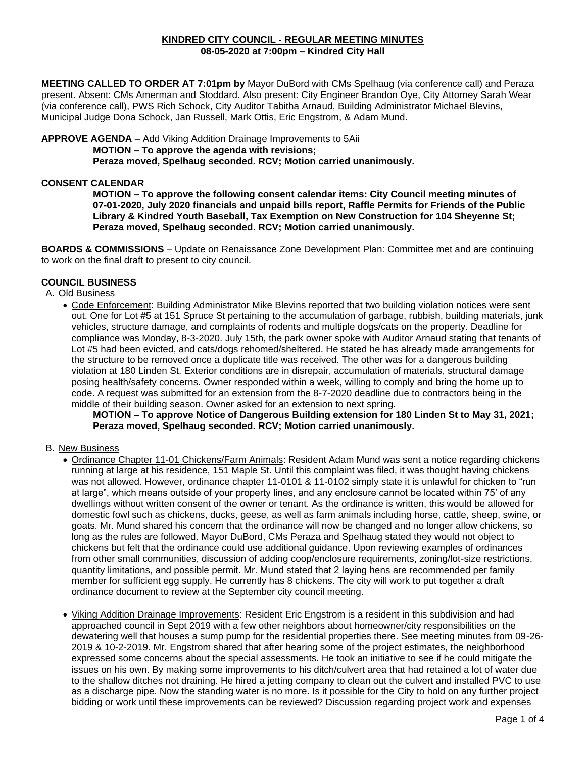#### **KINDRED CITY COUNCIL - REGULAR MEETING MINUTES 08-05-2020 at 7:00pm – Kindred City Hall**

**MEETING CALLED TO ORDER AT 7:01pm by** Mayor DuBord with CMs Spelhaug (via conference call) and Peraza present. Absent: CMs Amerman and Stoddard. Also present: City Engineer Brandon Oye, City Attorney Sarah Wear (via conference call), PWS Rich Schock, City Auditor Tabitha Arnaud, Building Administrator Michael Blevins, Municipal Judge Dona Schock, Jan Russell, Mark Ottis, Eric Engstrom, & Adam Mund.

**APPROVE AGENDA** – Add Viking Addition Drainage Improvements to 5Aii **MOTION – To approve the agenda with revisions; Peraza moved, Spelhaug seconded. RCV; Motion carried unanimously.** 

### **CONSENT CALENDAR**

**MOTION – To approve the following consent calendar items: City Council meeting minutes of 07-01-2020, July 2020 financials and unpaid bills report, Raffle Permits for Friends of the Public Library & Kindred Youth Baseball, Tax Exemption on New Construction for 104 Sheyenne St; Peraza moved, Spelhaug seconded. RCV; Motion carried unanimously.**

**BOARDS & COMMISSIONS** – Update on Renaissance Zone Development Plan: Committee met and are continuing to work on the final draft to present to city council.

## **COUNCIL BUSINESS**

A. Old Business

• Code Enforcement: Building Administrator Mike Blevins reported that two building violation notices were sent out. One for Lot #5 at 151 Spruce St pertaining to the accumulation of garbage, rubbish, building materials, junk vehicles, structure damage, and complaints of rodents and multiple dogs/cats on the property. Deadline for compliance was Monday, 8-3-2020. July 15th, the park owner spoke with Auditor Arnaud stating that tenants of Lot #5 had been evicted, and cats/dogs rehomed/sheltered. He stated he has already made arrangements for the structure to be removed once a duplicate title was received. The other was for a dangerous building violation at 180 Linden St. Exterior conditions are in disrepair, accumulation of materials, structural damage posing health/safety concerns. Owner responded within a week, willing to comply and bring the home up to code. A request was submitted for an extension from the 8-7-2020 deadline due to contractors being in the middle of their building season. Owner asked for an extension to next spring.

**MOTION – To approve Notice of Dangerous Building extension for 180 Linden St to May 31, 2021; Peraza moved, Spelhaug seconded. RCV; Motion carried unanimously.** 

#### B. New Business

- Ordinance Chapter 11-01 Chickens/Farm Animals: Resident Adam Mund was sent a notice regarding chickens running at large at his residence, 151 Maple St. Until this complaint was filed, it was thought having chickens was not allowed. However, ordinance chapter 11-0101 & 11-0102 simply state it is unlawful for chicken to "run at large", which means outside of your property lines, and any enclosure cannot be located within 75' of any dwellings without written consent of the owner or tenant. As the ordinance is written, this would be allowed for domestic fowl such as chickens, ducks, geese, as well as farm animals including horse, cattle, sheep, swine, or goats. Mr. Mund shared his concern that the ordinance will now be changed and no longer allow chickens, so long as the rules are followed. Mayor DuBord, CMs Peraza and Spelhaug stated they would not object to chickens but felt that the ordinance could use additional guidance. Upon reviewing examples of ordinances from other small communities, discussion of adding coop/enclosure requirements, zoning/lot-size restrictions, quantity limitations, and possible permit. Mr. Mund stated that 2 laying hens are recommended per family member for sufficient egg supply. He currently has 8 chickens. The city will work to put together a draft ordinance document to review at the September city council meeting.
- Viking Addition Drainage Improvements: Resident Eric Engstrom is a resident in this subdivision and had approached council in Sept 2019 with a few other neighbors about homeowner/city responsibilities on the dewatering well that houses a sump pump for the residential properties there. See meeting minutes from 09-26- 2019 & 10-2-2019. Mr. Engstrom shared that after hearing some of the project estimates, the neighborhood expressed some concerns about the special assessments. He took an initiative to see if he could mitigate the issues on his own. By making some improvements to his ditch/culvert area that had retained a lot of water due to the shallow ditches not draining. He hired a jetting company to clean out the culvert and installed PVC to use as a discharge pipe. Now the standing water is no more. Is it possible for the City to hold on any further project bidding or work until these improvements can be reviewed? Discussion regarding project work and expenses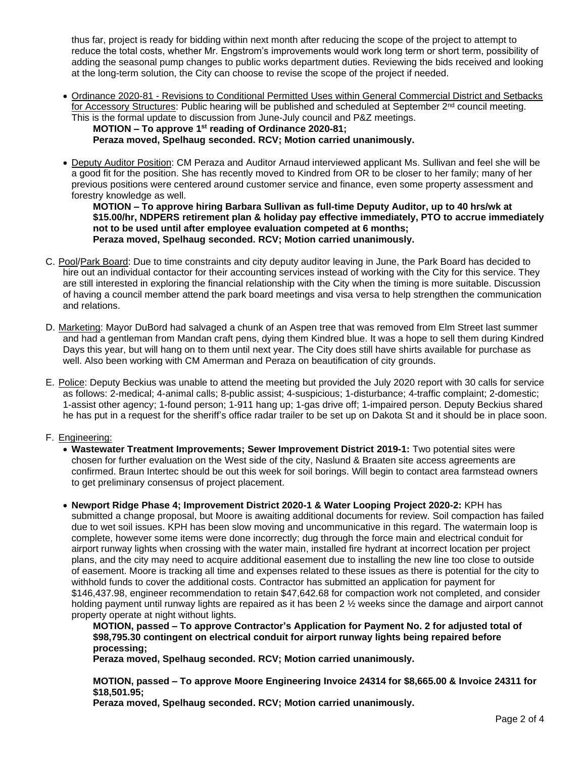thus far, project is ready for bidding within next month after reducing the scope of the project to attempt to reduce the total costs, whether Mr. Engstrom's improvements would work long term or short term, possibility of adding the seasonal pump changes to public works department duties. Reviewing the bids received and looking at the long-term solution, the City can choose to revise the scope of the project if needed.

• Ordinance 2020-81 - Revisions to Conditional Permitted Uses within General Commercial District and Setbacks for Accessory Structures: Public hearing will be published and scheduled at September 2<sup>nd</sup> council meeting. This is the formal update to discussion from June-July council and P&Z meetings.

**MOTION – To approve 1 st reading of Ordinance 2020-81;**

**Peraza moved, Spelhaug seconded. RCV; Motion carried unanimously.** 

• Deputy Auditor Position: CM Peraza and Auditor Arnaud interviewed applicant Ms. Sullivan and feel she will be a good fit for the position. She has recently moved to Kindred from OR to be closer to her family; many of her previous positions were centered around customer service and finance, even some property assessment and forestry knowledge as well.

**MOTION – To approve hiring Barbara Sullivan as full-time Deputy Auditor, up to 40 hrs/wk at \$15.00/hr, NDPERS retirement plan & holiday pay effective immediately, PTO to accrue immediately not to be used until after employee evaluation competed at 6 months; Peraza moved, Spelhaug seconded. RCV; Motion carried unanimously.** 

- C. Pool/Park Board: Due to time constraints and city deputy auditor leaving in June, the Park Board has decided to hire out an individual contactor for their accounting services instead of working with the City for this service. They are still interested in exploring the financial relationship with the City when the timing is more suitable. Discussion of having a council member attend the park board meetings and visa versa to help strengthen the communication and relations.
- D. Marketing: Mayor DuBord had salvaged a chunk of an Aspen tree that was removed from Elm Street last summer and had a gentleman from Mandan craft pens, dying them Kindred blue. It was a hope to sell them during Kindred Days this year, but will hang on to them until next year. The City does still have shirts available for purchase as well. Also been working with CM Amerman and Peraza on beautification of city grounds.
- E. Police: Deputy Beckius was unable to attend the meeting but provided the July 2020 report with 30 calls for service as follows: 2-medical; 4-animal calls; 8-public assist; 4-suspicious; 1-disturbance; 4-traffic complaint; 2-domestic; 1-assist other agency; 1-found person; 1-911 hang up; 1-gas drive off; 1-impaired person. Deputy Beckius shared he has put in a request for the sheriff's office radar trailer to be set up on Dakota St and it should be in place soon.

# F. Engineering:

- **Wastewater Treatment Improvements; Sewer Improvement District 2019-1:** Two potential sites were chosen for further evaluation on the West side of the city, Naslund & Braaten site access agreements are confirmed. Braun Intertec should be out this week for soil borings. Will begin to contact area farmstead owners to get preliminary consensus of project placement.
- **Newport Ridge Phase 4; Improvement District 2020-1 & Water Looping Project 2020-2:** KPH has submitted a change proposal, but Moore is awaiting additional documents for review. Soil compaction has failed due to wet soil issues. KPH has been slow moving and uncommunicative in this regard. The watermain loop is complete, however some items were done incorrectly; dug through the force main and electrical conduit for airport runway lights when crossing with the water main, installed fire hydrant at incorrect location per project plans, and the city may need to acquire additional easement due to installing the new line too close to outside of easement. Moore is tracking all time and expenses related to these issues as there is potential for the city to withhold funds to cover the additional costs. Contractor has submitted an application for payment for \$146,437.98, engineer recommendation to retain \$47,642.68 for compaction work not completed, and consider holding payment until runway lights are repaired as it has been 2  $\frac{1}{2}$  weeks since the damage and airport cannot property operate at night without lights.

**MOTION, passed – To approve Contractor's Application for Payment No. 2 for adjusted total of \$98,795.30 contingent on electrical conduit for airport runway lights being repaired before processing;**

**Peraza moved, Spelhaug seconded. RCV; Motion carried unanimously.**

**MOTION, passed – To approve Moore Engineering Invoice 24314 for \$8,665.00 & Invoice 24311 for \$18,501.95;**

**Peraza moved, Spelhaug seconded. RCV; Motion carried unanimously.**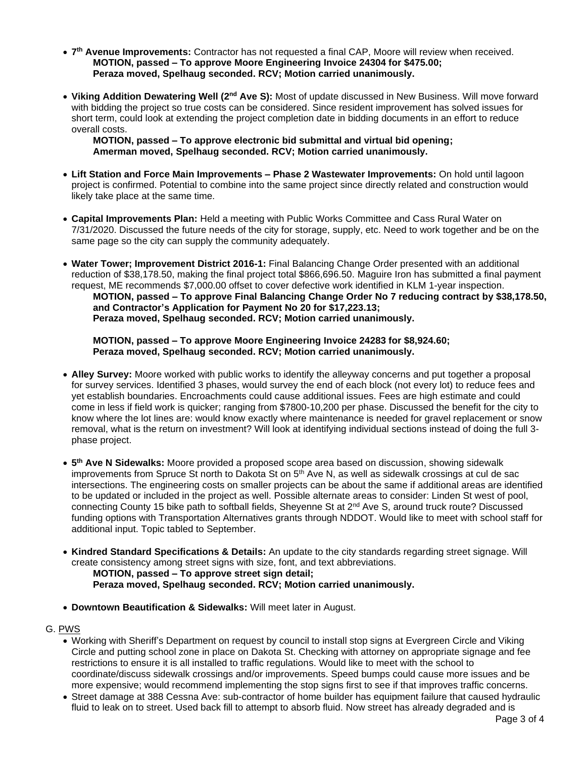- **7 th Avenue Improvements:** Contractor has not requested a final CAP, Moore will review when received. **MOTION, passed – To approve Moore Engineering Invoice 24304 for \$475.00; Peraza moved, Spelhaug seconded. RCV; Motion carried unanimously.**
- **Viking Addition Dewatering Well (2nd Ave S):** Most of update discussed in New Business. Will move forward with bidding the project so true costs can be considered. Since resident improvement has solved issues for short term, could look at extending the project completion date in bidding documents in an effort to reduce overall costs.

**MOTION, passed – To approve electronic bid submittal and virtual bid opening; Amerman moved, Spelhaug seconded. RCV; Motion carried unanimously.** 

- **Lift Station and Force Main Improvements – Phase 2 Wastewater Improvements:** On hold until lagoon project is confirmed. Potential to combine into the same project since directly related and construction would likely take place at the same time.
- **Capital Improvements Plan:** Held a meeting with Public Works Committee and Cass Rural Water on 7/31/2020. Discussed the future needs of the city for storage, supply, etc. Need to work together and be on the same page so the city can supply the community adequately.
- **Water Tower; Improvement District 2016-1:** Final Balancing Change Order presented with an additional reduction of \$38,178.50, making the final project total \$866,696.50. Maguire Iron has submitted a final payment request, ME recommends \$7,000.00 offset to cover defective work identified in KLM 1-year inspection.

**MOTION, passed – To approve Final Balancing Change Order No 7 reducing contract by \$38,178.50, and Contractor's Application for Payment No 20 for \$17,223.13; Peraza moved, Spelhaug seconded. RCV; Motion carried unanimously.** 

**MOTION, passed – To approve Moore Engineering Invoice 24283 for \$8,924.60; Peraza moved, Spelhaug seconded. RCV; Motion carried unanimously.** 

- **Alley Survey:** Moore worked with public works to identify the alleyway concerns and put together a proposal for survey services. Identified 3 phases, would survey the end of each block (not every lot) to reduce fees and yet establish boundaries. Encroachments could cause additional issues. Fees are high estimate and could come in less if field work is quicker; ranging from \$7800-10,200 per phase. Discussed the benefit for the city to know where the lot lines are: would know exactly where maintenance is needed for gravel replacement or snow removal, what is the return on investment? Will look at identifying individual sections instead of doing the full 3 phase project.
- **5 th Ave N Sidewalks:** Moore provided a proposed scope area based on discussion, showing sidewalk improvements from Spruce St north to Dakota St on 5<sup>th</sup> Ave N, as well as sidewalk crossings at cul de sac intersections. The engineering costs on smaller projects can be about the same if additional areas are identified to be updated or included in the project as well. Possible alternate areas to consider: Linden St west of pool, connecting County 15 bike path to softball fields, Sheyenne St at 2<sup>nd</sup> Ave S, around truck route? Discussed funding options with Transportation Alternatives grants through NDDOT. Would like to meet with school staff for additional input. Topic tabled to September.
- **Kindred Standard Specifications & Details:** An update to the city standards regarding street signage. Will create consistency among street signs with size, font, and text abbreviations. **MOTION, passed – To approve street sign detail;**

**Peraza moved, Spelhaug seconded. RCV; Motion carried unanimously.** 

• **Downtown Beautification & Sidewalks:** Will meet later in August.

G. PWS

- Working with Sheriff's Department on request by council to install stop signs at Evergreen Circle and Viking Circle and putting school zone in place on Dakota St. Checking with attorney on appropriate signage and fee restrictions to ensure it is all installed to traffic regulations. Would like to meet with the school to coordinate/discuss sidewalk crossings and/or improvements. Speed bumps could cause more issues and be more expensive; would recommend implementing the stop signs first to see if that improves traffic concerns.
- Street damage at 388 Cessna Ave: sub-contractor of home builder has equipment failure that caused hydraulic fluid to leak on to street. Used back fill to attempt to absorb fluid. Now street has already degraded and is